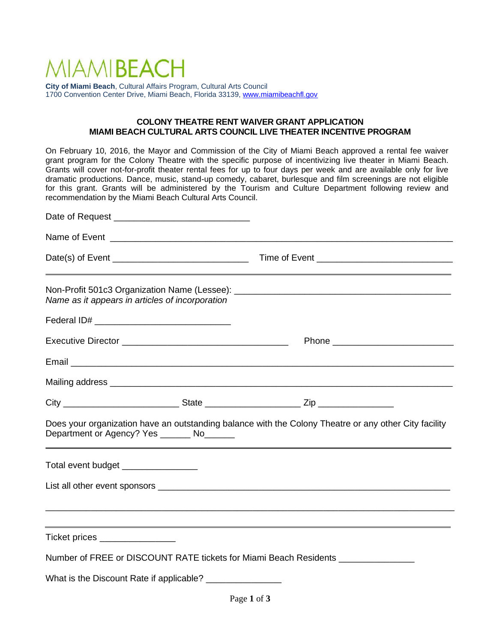# MIAMIRFACH

**City of Miami Beach**, Cultural Affairs Program, Cultural Arts Council 1700 Convention Center Drive, Miami Beach, Florida 33139, [www.miamibeachfl.gov](http://www.miamibeachfl.gov/)

#### **COLONY THEATRE RENT WAIVER GRANT APPLICATION MIAMI BEACH CULTURAL ARTS COUNCIL LIVE THEATER INCENTIVE PROGRAM**

On February 10, 2016, the Mayor and Commission of the City of Miami Beach approved a rental fee waiver grant program for the Colony Theatre with the specific purpose of incentivizing live theater in Miami Beach. Grants will cover not-for-profit theater rental fees for up to four days per week and are available only for live dramatic productions. Dance, music, stand-up comedy, cabaret, burlesque and film screenings are not eligible for this grant. Grants will be administered by the Tourism and Culture Department following review and recommendation by the Miami Beach Cultural Arts Council.

|                                     | Name as it appears in articles of incorporation            |                                                                                                       |  |
|-------------------------------------|------------------------------------------------------------|-------------------------------------------------------------------------------------------------------|--|
|                                     |                                                            |                                                                                                       |  |
|                                     |                                                            |                                                                                                       |  |
|                                     |                                                            |                                                                                                       |  |
|                                     |                                                            |                                                                                                       |  |
|                                     |                                                            |                                                                                                       |  |
|                                     | Department or Agency? Yes ________ No_______               | Does your organization have an outstanding balance with the Colony Theatre or any other City facility |  |
| Total event budget ________________ |                                                            |                                                                                                       |  |
|                                     |                                                            |                                                                                                       |  |
|                                     |                                                            |                                                                                                       |  |
| Ticket prices ________________      |                                                            |                                                                                                       |  |
|                                     |                                                            | Number of FREE or DISCOUNT RATE tickets for Miami Beach Residents ______________                      |  |
|                                     | What is the Discount Rate if applicable? _________________ |                                                                                                       |  |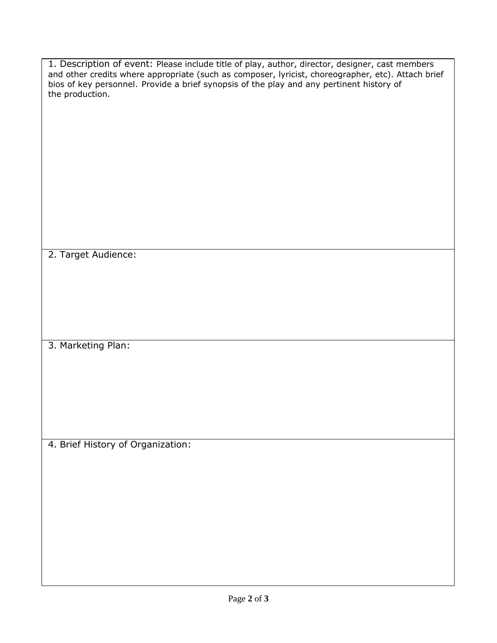| 1. Description of event: Please include title of play, author, director, designer, cast members<br>and other credits where appropriate (such as composer, lyricist, choreographer, etc). Attach brief<br>bios of key personnel. Provide a brief synopsis of the play and any pertinent history of<br>the production. |  |  |  |  |  |
|----------------------------------------------------------------------------------------------------------------------------------------------------------------------------------------------------------------------------------------------------------------------------------------------------------------------|--|--|--|--|--|
|                                                                                                                                                                                                                                                                                                                      |  |  |  |  |  |
|                                                                                                                                                                                                                                                                                                                      |  |  |  |  |  |
|                                                                                                                                                                                                                                                                                                                      |  |  |  |  |  |
|                                                                                                                                                                                                                                                                                                                      |  |  |  |  |  |
|                                                                                                                                                                                                                                                                                                                      |  |  |  |  |  |
| 2. Target Audience:                                                                                                                                                                                                                                                                                                  |  |  |  |  |  |
|                                                                                                                                                                                                                                                                                                                      |  |  |  |  |  |
|                                                                                                                                                                                                                                                                                                                      |  |  |  |  |  |
| 3. Marketing Plan:                                                                                                                                                                                                                                                                                                   |  |  |  |  |  |
|                                                                                                                                                                                                                                                                                                                      |  |  |  |  |  |
|                                                                                                                                                                                                                                                                                                                      |  |  |  |  |  |
| 4. Brief History of Organization:                                                                                                                                                                                                                                                                                    |  |  |  |  |  |
|                                                                                                                                                                                                                                                                                                                      |  |  |  |  |  |
|                                                                                                                                                                                                                                                                                                                      |  |  |  |  |  |
|                                                                                                                                                                                                                                                                                                                      |  |  |  |  |  |
|                                                                                                                                                                                                                                                                                                                      |  |  |  |  |  |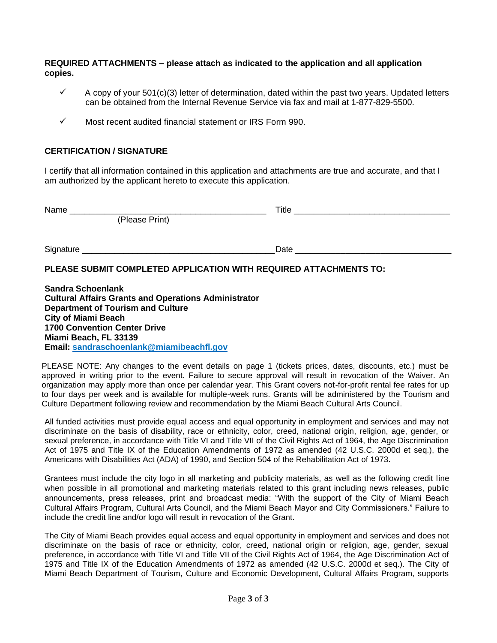### **REQUIRED ATTACHMENTS – please attach as indicated to the application and all application copies.**

- $\checkmark$  A copy of your 501(c)(3) letter of determination, dated within the past two years. Updated letters can be obtained from the Internal Revenue Service via fax and mail at 1-877-829-5500.
- ✓ Most recent audited financial statement or IRS Form 990.

### **CERTIFICATION / SIGNATURE**

I certify that all information contained in this application and attachments are true and accurate, and that I am authorized by the applicant hereto to execute this application.

| Name      |                | Title |  |
|-----------|----------------|-------|--|
|           | (Please Print) |       |  |
| Signature |                | Date  |  |
|           |                |       |  |

## **PLEASE SUBMIT COMPLETED APPLICATION WITH REQUIRED ATTACHMENTS TO:**

**Sandra Schoenlank Cultural Affairs Grants and Operations Administrator Department of Tourism and Culture City of Miami Beach 1700 Convention Center Drive Miami Beach, FL 33139 Email: sandraschoenlank@miamibeachfl.gov**

PLEASE NOTE: Any changes to the event details on page 1 (tickets prices, dates, discounts, etc.) must be approved in writing prior to the event. Failure to secure approval will result in revocation of the Waiver. An organization may apply more than once per calendar year. This Grant covers not-for-profit rental fee rates for up to four days per week and is available for multiple-week runs. Grants will be administered by the Tourism and Culture Department following review and recommendation by the Miami Beach Cultural Arts Council.

All funded activities must provide equal access and equal opportunity in employment and services and may not discriminate on the basis of disability, race or ethnicity, color, creed, national origin, religion, age, gender, or sexual preference, in accordance with Title VI and Title VII of the Civil Rights Act of 1964, the Age Discrimination Act of 1975 and Title IX of the Education Amendments of 1972 as amended (42 U.S.C. 2000d et seq.), the Americans with Disabilities Act (ADA) of 1990, and Section 504 of the Rehabilitation Act of 1973.

Grantees must include the city logo in all marketing and publicity materials, as well as the following credit line when possible in all promotional and marketing materials related to this grant including news releases, public announcements, press releases, print and broadcast media: "With the support of the City of Miami Beach Cultural Affairs Program, Cultural Arts Council, and the Miami Beach Mayor and City Commissioners." Failure to include the credit line and/or logo will result in revocation of the Grant.

The City of Miami Beach provides equal access and equal opportunity in employment and services and does not discriminate on the basis of race or ethnicity, color, creed, national origin or religion, age, gender, sexual preference, in accordance with Title VI and Title VII of the Civil Rights Act of 1964, the Age Discrimination Act of 1975 and Title IX of the Education Amendments of 1972 as amended (42 U.S.C. 2000d et seq.). The City of Miami Beach Department of Tourism, Culture and Economic Development, Cultural Affairs Program, supports